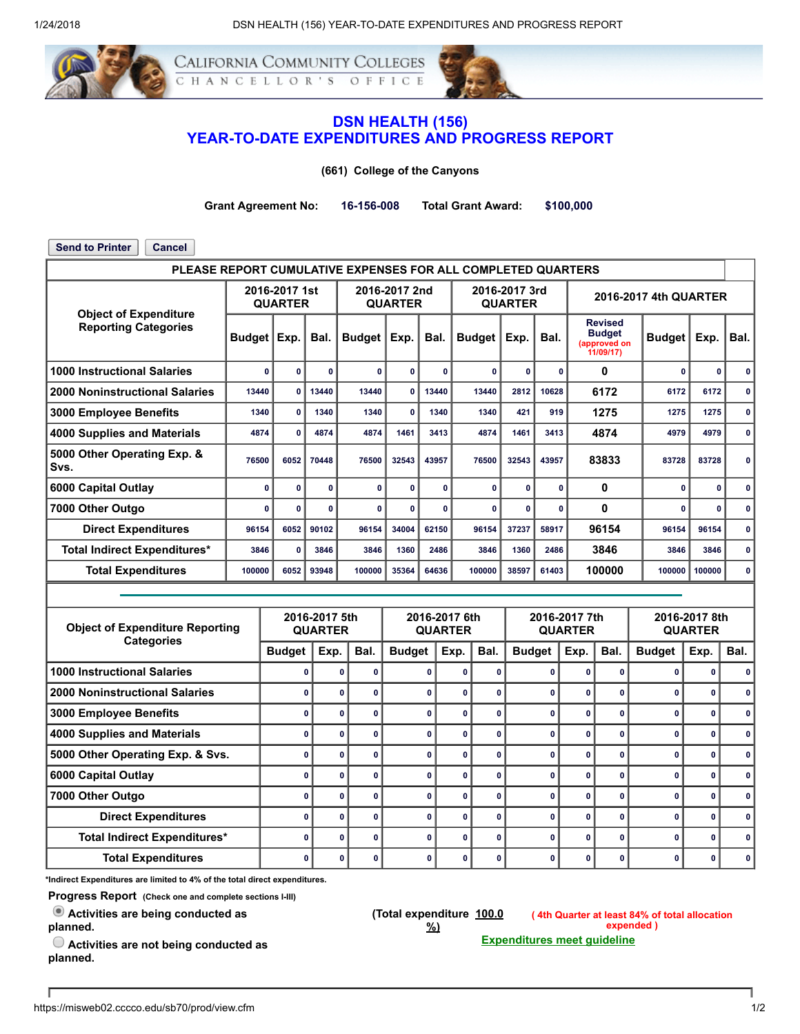

California Community Colleges HANCELLOR'S OFFICE



## DSN HEALTH (156) YEAR-TO-DATE EXPENDITURES AND PROGRESS REPORT

(661) College of the Canyons

Grant Agreement No: 16-156-008 Total Grant Award: \$100,000

Send to Printer | Cancel PLEASE REPORT CUMULATIVE EXPENSES FOR ALL COMPLETED QUARTERS Object of Expenditure Reporting Categories 2016-2017 1st QUARTER 2016-2017 2nd QUARTER 2016-2017 3rd QUARTER 2016-2017 4th QUARTER Budget | Exp. | Bal. | Budget | Exp. | Bal. | Budget | Exp. | Bal. Revised **Budget**<br>pproved on (approved on 11/09/17) Budget  $|Exp.$  Bal. 1000 Instructional Salaries 0 0 0 0 0 0 0 0 0 0 0 0 0 2000 Noninstructional Salaries | 13440 | 13440 | 13440 | 13440 | 13440 | 2812 | 10628 | 6172 | 6172 | 6172 | 0 3000 Employee Benefits | 1340 0 1340 1340 0 1340 1340 1340 121 919 1275 1275 1275 0 4000 Supplies and Materials | 4874 | 0 | 4874 | 4874 | 1461 | 3413 | 4874 | | 4979 | 4979 | 0 | | 5000 Other Operating Exp. & Svs. <sup>76500</sup> <sup>6052</sup> <sup>70448</sup> <sup>76500</sup> <sup>32543</sup> <sup>43957</sup> <sup>76500</sup> <sup>32543</sup> <sup>43957</sup> <sup>83833</sup> <sup>83728</sup> <sup>83728</sup> <sup>0</sup> 6000 Capital Outlay 0 0 0 0 0 0 0 0 0 0 0 0 0 7000 Other Outgo 0 0 0 0 0 0 0 0 0 0 0 0 0 Direct Expenditures | 96154 6052 90102 96154 34004 62150 96154 37237 58917 96154 96154 96154 0 Total Indirect Expenditures\* | 3846 | 0 | 3846 | 3846 | 1360 | 2486 | 3846 | 3846 | 3846 | 3846 | 3846 | 0 Total Expenditures | 100000 | 6052 | 93948 | 100000 | 36364 | 64636 | 100000 | 38597 | 61403 | 100000 | 100000 | 100000 | 00000 | 00000 | 100000 | 00000 | 100000 | 100000 | 100000 | 100000 | 100000 | 100000 | 100000 | 1000 Object of Expenditure Reporting **Categories** 2016-2017 5th QUARTER 2016-2017 6th QUARTER 2016-2017 7th QUARTER 2016-2017 8th QUARTER Budget | Exp. | Bal. | Budget | Exp. | Bal. | Budget | Exp. | Bal. | Budget | Exp. | Bal. 1000 Instructional Salaries 0 0 0 0 0 0 0 0 0 0 0 0 2000 Noninstructional Salaries 0 0 0 0 0 0 0 0 0 0 0 0 3000 Employee Benefits 0 0 0 0 0 0 0 0 0 0 0 0 4000 Supplies and Materials 0 0 0 0 0 0 0 0 0 0 0 0 5000 Other Operating Exp. & Svs. 0 0 0 0 0 0 0 0 0 0 0 0 6000 Capital Outlay 0 0 0 0 0 0 0 0 0 0 0 0 7000 Other Outgo 0 0 0 0 0 0 0 0 0 0 0 0 Direct Expenditures 0 0 0 0 0 0 0 0 0 0 0 0 Total Indirect Expenditures\* 0 0 0 0 0 0 0 0 0 0 0 0 Total Expenditures 0 0 0 0 0 0 0 0 0 0 0 0

\*Indirect Expenditures are limited to 4% of the total direct expenditures.

Progress Report (Check one and complete sections I-III)

Activities are being conducted as planned.

(Total expenditure 100.0 %)

( 4th Quarter at least 84% of total allocation expended ) Expenditures meet guideline

 $\bigcirc$  Activities are not being conducted as planned.